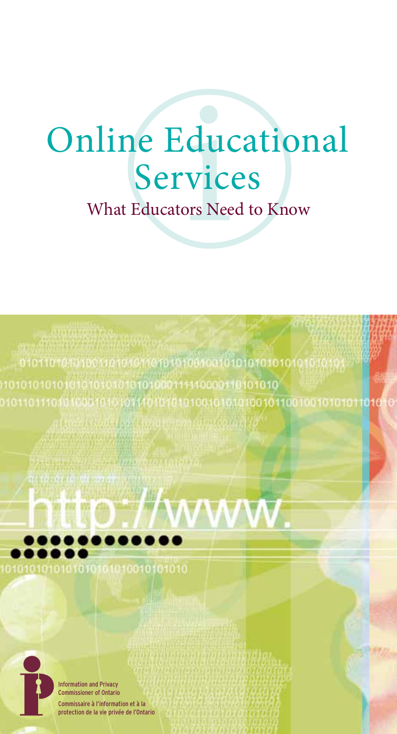# **Online Educational<br>Services**<br>What Educators Need to Know Services

01010101000111110000110101010 10101010101 10101010010110010010101011010





Information and Privacy Commissioner of Ontario formation et à la de la vie privée de l'Ontario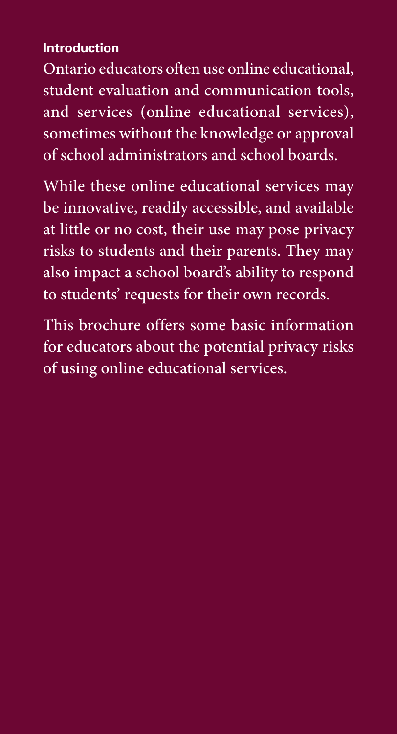# **Introduction**

Ontario educators often use online educational, student evaluation and communication tools, and services (online educational services), sometimes without the knowledge or approval of school administrators and school boards.

While these online educational services may be innovative, readily accessible, and available at little or no cost, their use may pose privacy risks to students and their parents. They may also impact a school board's ability to respond to students' requests for their own records.

This brochure offers some basic information for educators about the potential privacy risks of using online educational services.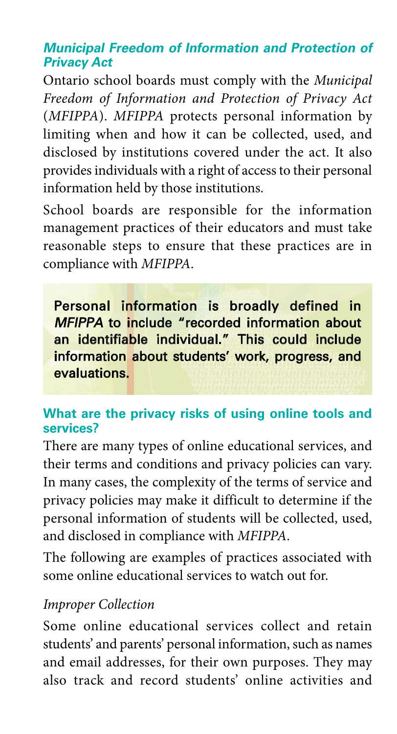## **Municipal Freedom of Information and Protection of Privacy Act**

Ontario school boards must comply with the *Municipal Freedom of Information and Protection of Privacy Act* (*MFIPPA*). *MFIPPA* protects personal information by limiting when and how it can be collected, used, and disclosed by institutions covered under the act. It also provides individuals with a right of access to their personal information held by those institutions.

School boards are responsible for the information management practices of their educators and must take reasonable steps to ensure that these practices are in compliance with *MFIPPA*.

Personal information is broadly defined in MFIPPA to include "recorded information about an identifiable individual." This could include information about students' work, progress, and evaluations.

#### **What are the privacy risks of using online tools and services?**

There are many types of online educational services, and their terms and conditions and privacy policies can vary. In many cases, the complexity of the terms of service and privacy policies may make it difficult to determine if the personal information of students will be collected, used, and disclosed in compliance with *MFIPPA*.

The following are examples of practices associated with some online educational services to watch out for.

#### *Improper Collection*

Some online educational services collect and retain students' and parents' personal information, such as names and email addresses, for their own purposes. They may also track and record students' online activities and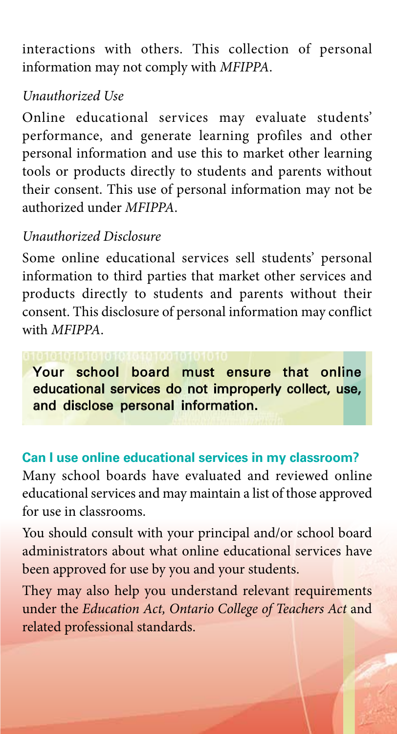interactions with others. This collection of personal information may not comply with *MFIPPA*.

# *Unauthorized Use*

Online educational services may evaluate students' performance, and generate learning profiles and other personal information and use this to market other learning tools or products directly to students and parents without their consent. This use of personal information may not be authorized under *MFIPPA*.

## *Unauthorized Disclosure*

Some online educational services sell students' personal information to third parties that market other services and products directly to students and parents without their consent. This disclosure of personal information may conflict with *MFIPPA*.

Your school board must ensure that online educational services do not improperly collect, use, and disclose personal information.

## **Can I use online educational services in my classroom?**

Many school boards have evaluated and reviewed online educational services and may maintain a list of those approved for use in classrooms.

You should consult with your principal and/or school board administrators about what online educational services have been approved for use by you and your students.

They may also help you understand relevant requirements under the *Education Act, Ontario College of Teachers Act* and related professional standards.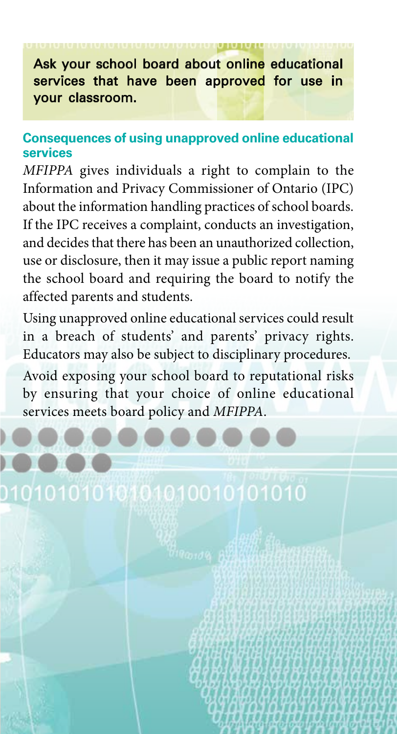# Ask your school board about online educational services that have been approved for use in your classroom.

#### **Consequences of using unapproved online educational services**

*MFIPPA* gives individuals a right to complain to the Information and Privacy Commissioner of Ontario (IPC) about the information handling practices of school boards. If the IPC receives a complaint, conducts an investigation, and decides that there has been an unauthorized collection, use or disclosure, then it may issue a public report naming the school board and requiring the board to notify the affected parents and students.

Using unapproved online educational services could result in a breach of students' and parents' privacy rights. Educators may also be subject to disciplinary procedures.

Avoid exposing your school board to reputational risks by ensuring that your choice of online educational services meets board policy and *MFIPPA*.

010101010101010010101010